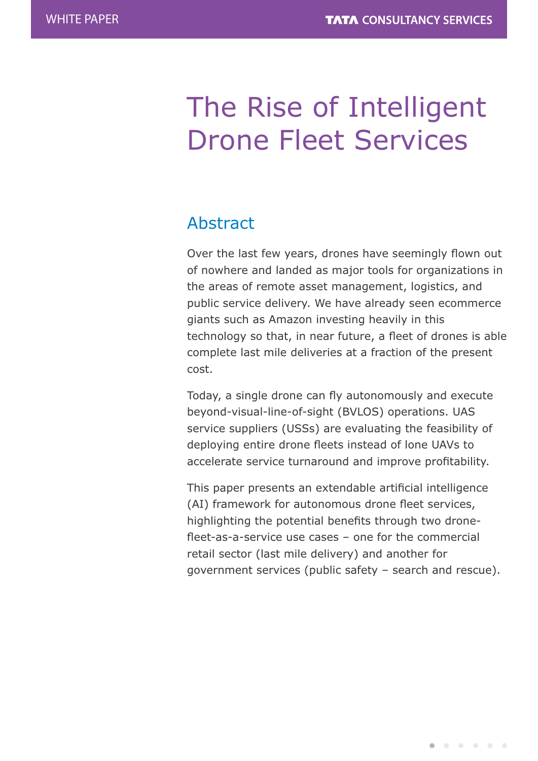# The Rise of Intelligent Drone Fleet Services

# Abstract

Over the last few years, drones have seemingly flown out of nowhere and landed as major tools for organizations in the areas of remote asset management, logistics, and public service delivery. We have already seen ecommerce giants such as Amazon investing heavily in this technology so that, in near future, a fleet of drones is able complete last mile deliveries at a fraction of the present cost.

Today, a single drone can fly autonomously and execute beyond-visual-line-of-sight (BVLOS) operations. UAS service suppliers (USSs) are evaluating the feasibility of deploying entire drone fleets instead of lone UAVs to accelerate service turnaround and improve profitability.

This paper presents an extendable artificial intelligence (AI) framework for autonomous drone fleet services, highlighting the potential benefits through two dronefleet-as-a-service use cases  $-$  one for the commercial retail sector (last mile delivery) and another for government services (public safety – search and rescue).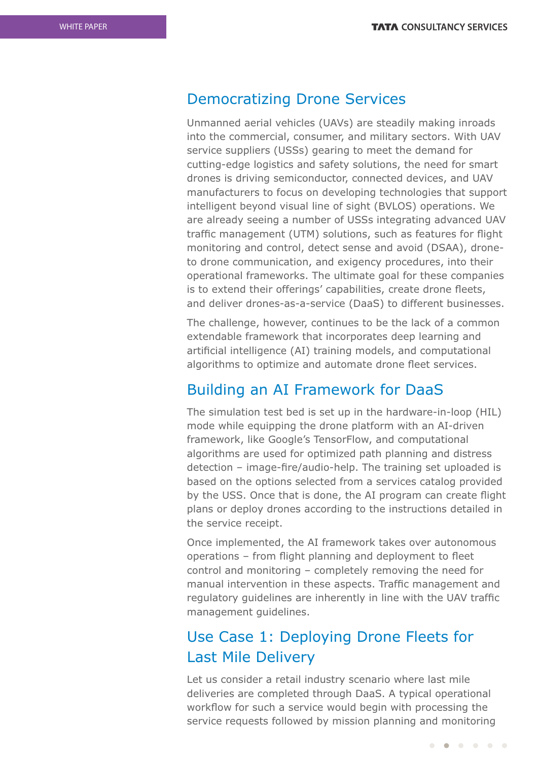### Democratizing Drone Services

Unmanned aerial vehicles (UAVs) are steadily making inroads into the commercial, consumer, and military sectors. With UAV service suppliers (USSs) gearing to meet the demand for cutting-edge logistics and safety solutions, the need for smart drones is driving semiconductor, connected devices, and UAV manufacturers to focus on developing technologies that support intelligent beyond visual line of sight (BVLOS) operations. We are already seeing a number of USSs integrating advanced UAV traffic management (UTM) solutions, such as features for flight monitoring and control, detect sense and avoid (DSAA), droneto drone communication, and exigency procedures, into their operational frameworks. The ultimate goal for these companies is to extend their offerings' capabilities, create drone fleets, and deliver drones-as-a-service (DaaS) to different businesses.

The challenge, however, continues to be the lack of a common extendable framework that incorporates deep learning and artificial intelligence (AI) training models, and computational algorithms to optimize and automate drone fleet services.

## Building an AI Framework for DaaS

The simulation test bed is set up in the hardware-in-loop (HIL) mode while equipping the drone platform with an AI-driven framework, like Google's TensorFlow, and computational algorithms are used for optimized path planning and distress  $detection - image-free/audio-help.$  The training set uploaded is based on the options selected from a services catalog provided by the USS. Once that is done, the AI program can create flight plans or deploy drones according to the instructions detailed in the service receipt.

Once implemented, the AI framework takes over autonomous operations – from flight planning and deployment to fleet control and monitoring – completely removing the need for manual intervention in these aspects. Traffic management and regulatory guidelines are inherently in line with the UAV traffic management guidelines.

# Use Case 1: Deploying Drone Fleets for Last Mile Delivery

Let us consider a retail industry scenario where last mile deliveries are completed through DaaS. A typical operational workflow for such a service would begin with processing the service requests followed by mission planning and monitoring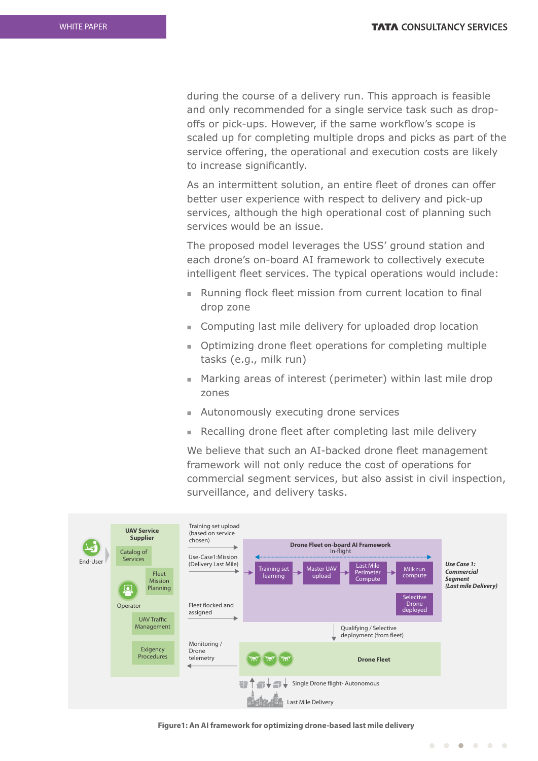during the course of a delivery run. This approach is feasible and only recommended for a single service task such as dropoffs or pick-ups. However, if the same workflow's scope is scaled up for completing multiple drops and picks as part of the service offering, the operational and execution costs are likely to increase significantly.

As an intermittent solution, an entire fleet of drones can offer better user experience with respect to delivery and pick-up services, although the high operational cost of planning such services would be an issue.

The proposed model leverages the USS' ground station and each drone's on-board AI framework to collectively execute intelligent fleet services. The typical operations would include:

- n Running flock fleet mission from current location to final drop zone
- **EX Computing last mile delivery for uploaded drop location**
- Optimizing drone fleet operations for completing multiple tasks (e.g., milk run)
- Marking areas of interest (perimeter) within last mile drop zones
- Autonomously executing drone services
- n Recalling drone fleet after completing last mile delivery

We believe that such an AI-backed drone fleet management framework will not only reduce the cost of operations for commercial segment services, but also assist in civil inspection, surveillance, and delivery tasks.



**Figure1: An AI framework for optimizing drone-based last mile delivery**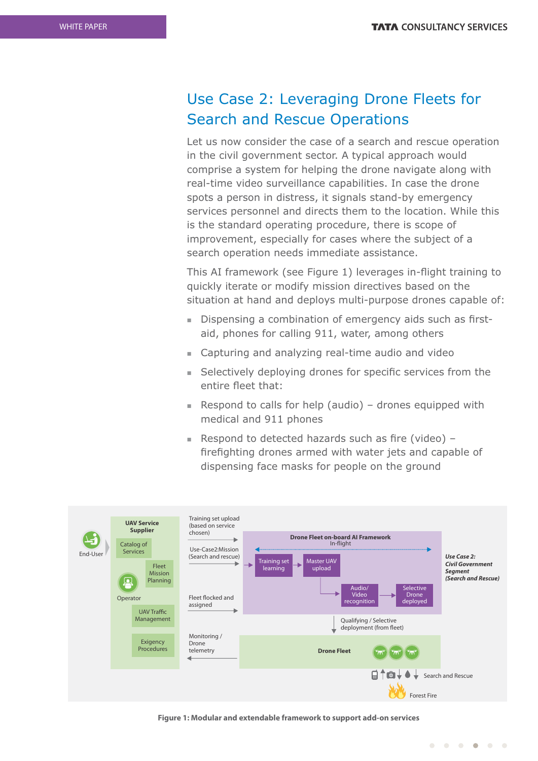# Use Case 2: Leveraging Drone Fleets for Search and Rescue Operations

Let us now consider the case of a search and rescue operation in the civil government sector. A typical approach would comprise a system for helping the drone navigate along with real-time video surveillance capabilities. In case the drone spots a person in distress, it signals stand-by emergency services personnel and directs them to the location. While this is the standard operating procedure, there is scope of improvement, especially for cases where the subject of a search operation needs immediate assistance.

This AI framework (see Figure 1) leverages in-flight training to quickly iterate or modify mission directives based on the situation at hand and deploys multi-purpose drones capable of:

- Dispensing a combination of emergency aids such as firstaid, phones for calling 911, water, among others
- Capturing and analyzing real-time audio and video
- $\blacksquare$  Selectively deploying drones for specific services from the entire fleet that:
- Respond to calls for help (audio) drones equipped with medical and 911 phones
- Respond to detected hazards such as fire (video)  $$ firefighting drones armed with water jets and capable of dispensing face masks for people on the ground



**Figure 1: Modular and extendable framework to support add-on services**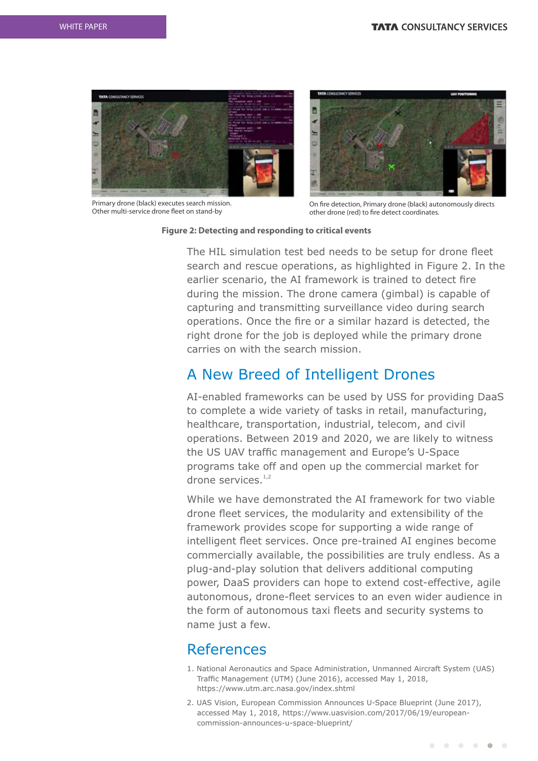

Primary drone (black) executes search mission. Other multi-service drone fleet on stand-by



On fire detection, Primary drone (black) autonomously directs other drone (red) to fire detect coordinates.

### **Figure 2: Detecting and responding to critical events**

The HIL simulation test bed needs to be setup for drone fleet search and rescue operations, as highlighted in Figure 2. In the earlier scenario, the AI framework is trained to detect fire during the mission. The drone camera (gimbal) is capable of capturing and transmitting surveillance video during search operations. Once the fire or a similar hazard is detected, the right drone for the job is deployed while the primary drone carries on with the search mission.

### A New Breed of Intelligent Drones

AI-enabled frameworks can be used by USS for providing DaaS to complete a wide variety of tasks in retail, manufacturing, healthcare, transportation, industrial, telecom, and civil operations. Between 2019 and 2020, we are likely to witness the US UAV traffic management and Europe's U-Space programs take off and open up the commercial market for drone services. $1,2$ 

While we have demonstrated the AI framework for two viable drone fleet services, the modularity and extensibility of the framework provides scope for supporting a wide range of intelligent fleet services. Once pre-trained AI engines become commercially available, the possibilities are truly endless. As a plug-and-play solution that delivers additional computing power, DaaS providers can hope to extend cost-effective, agile autonomous, drone-fleet services to an even wider audience in the form of autonomous taxi fleets and security systems to name just a few.

### References

- 1. National Aeronautics and Space Administration, Unmanned Aircraft System (UAS) Traffic Management (UTM) (June 2016), accessed May 1, 2018, https://www.utm.arc.nasa.gov/index.shtml
- 2. UAS Vision, European Commission Announces U-Space Blueprint (June 2017), accessed May 1, 2018, https://www.uasvision.com/2017/06/19/europeancommission-announces-u-space-blueprint/

. . . . .